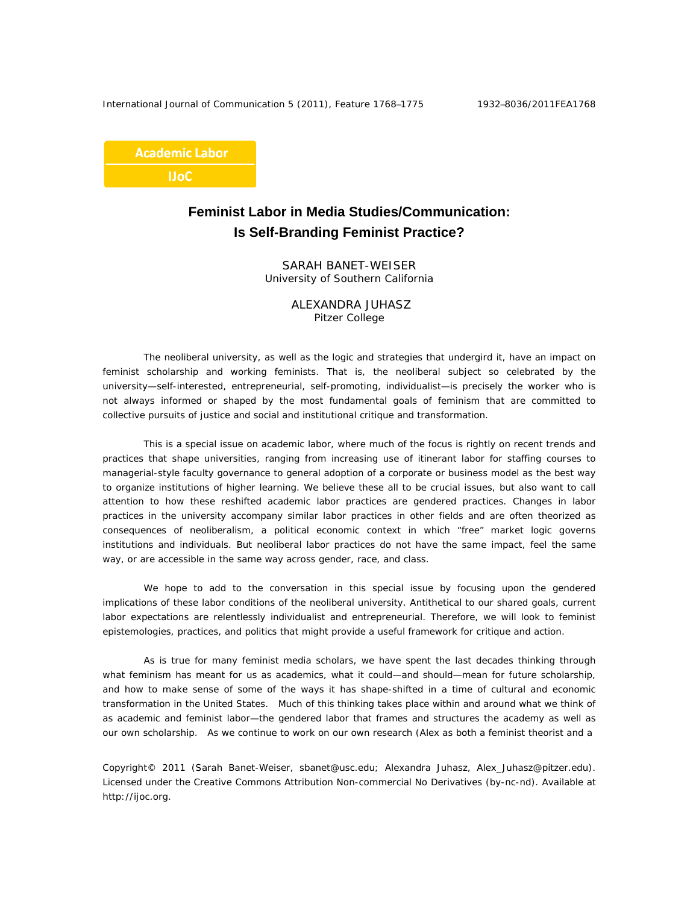**Academic Labor IJoC** 

# **Feminist Labor in Media Studies/Communication: Is Self-Branding Feminist Practice?**

SARAH BANET-WEISER University of Southern California

> ALEXANDRA JUHASZ Pitzer College

The neoliberal university, as well as the logic and strategies that undergird it, have an impact on feminist scholarship and working feminists. That is, the neoliberal subject so celebrated by the university—self-interested, entrepreneurial, self-promoting, individualist—is precisely the worker who is not always informed or shaped by the most fundamental goals of feminism that are committed to collective pursuits of justice and social and institutional critique and transformation.

This is a special issue on academic labor, where much of the focus is rightly on recent trends and practices that shape universities, ranging from increasing use of itinerant labor for staffing courses to managerial-style faculty governance to general adoption of a corporate or business model as the best way to organize institutions of higher learning. We believe these all to be crucial issues, but also want to call attention to how these reshifted academic labor practices are gendered practices. Changes in labor practices in the university accompany similar labor practices in other fields and are often theorized as consequences of neoliberalism, a political economic context in which "free" market logic governs institutions and individuals. But neoliberal labor practices do not have the same impact, feel the same way, or are accessible in the same way across gender, race, and class.

We hope to add to the conversation in this special issue by focusing upon the gendered implications of these labor conditions of the neoliberal university. Antithetical to our shared goals, current labor expectations are relentlessly individualist and entrepreneurial. Therefore, we will look to feminist epistemologies, practices, and politics that might provide a useful framework for critique and action.

As is true for many feminist media scholars, we have spent the last decades thinking through what feminism has meant for us as academics, what it could—and should—mean for future scholarship, and how to make sense of some of the ways it has shape-shifted in a time of cultural and economic transformation in the United States. Much of this thinking takes place within and around what we think of as academic and feminist labor—the gendered labor that frames and structures the academy as well as our own scholarship. As we continue to work on our own research (Alex as both a feminist theorist and a

Copyright© 2011 (Sarah Banet-Weiser, sbanet@usc.edu; Alexandra Juhasz, Alex\_Juhasz@pitzer.edu). Licensed under the Creative Commons Attribution Non-commercial No Derivatives (by-nc-nd). Available at http://ijoc.org.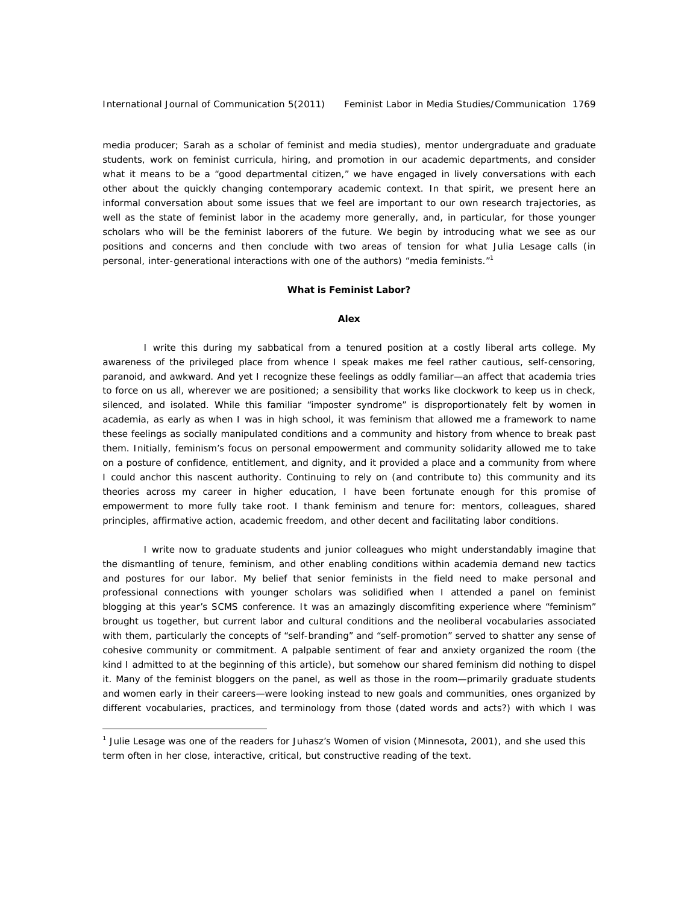media producer; Sarah as a scholar of feminist and media studies), mentor undergraduate and graduate students, work on feminist curricula, hiring, and promotion in our academic departments, and consider what it means to be a "good departmental citizen," we have engaged in lively conversations with each other about the quickly changing contemporary academic context. In that spirit, we present here an informal conversation about some issues that we feel are important to our own research trajectories, as well as the state of feminist labor in the academy more generally, and, in particular, for those younger scholars who will be the feminist laborers of the future. We begin by introducing what we see as our positions and concerns and then conclude with two areas of tension for what Julia Lesage calls (in personal, inter-generational interactions with one of the authors) "media feminists."<sup>1</sup>

## **What is Feminist Labor?**

### *Alex*

I write this during my sabbatical from a tenured position at a costly liberal arts college. My awareness of the privileged place from whence I speak makes me feel rather cautious, self-censoring, paranoid, and awkward. And yet I recognize these feelings as oddly familiar—an affect that academia tries to force on us all, wherever we are positioned; a sensibility that works like clockwork to keep us in check, silenced, and isolated. While this familiar "imposter syndrome" is disproportionately felt by women in academia, as early as when I was in high school, it was feminism that allowed me a framework to name these feelings as socially manipulated conditions and a community and history from whence to break past them. Initially, feminism's focus on personal empowerment and community solidarity allowed me to take on a posture of confidence, entitlement, and dignity, and it provided a place and a community from where I could anchor this nascent authority. Continuing to rely on (and contribute to) this community and its theories across my career in higher education, I have been fortunate enough for this promise of empowerment to more fully take root. I thank feminism and tenure for: mentors, colleagues, shared principles, affirmative action, academic freedom, and other decent and facilitating labor conditions.

I write now to graduate students and junior colleagues who might understandably imagine that the dismantling of tenure, feminism, and other enabling conditions within academia demand new tactics and postures for our labor. My belief that senior feminists in the field need to make personal and professional connections with younger scholars was solidified when I attended a panel on feminist blogging at this year's SCMS conference. It was an amazingly discomfiting experience where "feminism" brought us together, but current labor and cultural conditions and the neoliberal vocabularies associated with them, particularly the concepts of "self-branding" and "self-promotion" served to shatter any sense of cohesive community or commitment. A palpable sentiment of fear and anxiety organized the room (the kind I admitted to at the beginning of this article), but somehow our shared feminism did nothing to dispel it. Many of the feminist bloggers on the panel, as well as those in the room—primarily graduate students and women early in their careers—were looking instead to new goals and communities, ones organized by different vocabularies, practices, and terminology from those (dated words and acts?) with which I was

 $\overline{a}$ 

<sup>&</sup>lt;sup>1</sup> Julie Lesage was one of the readers for Juhasz's Women of vision (Minnesota, 2001), and she used this term often in her close, interactive, critical, but constructive reading of the text.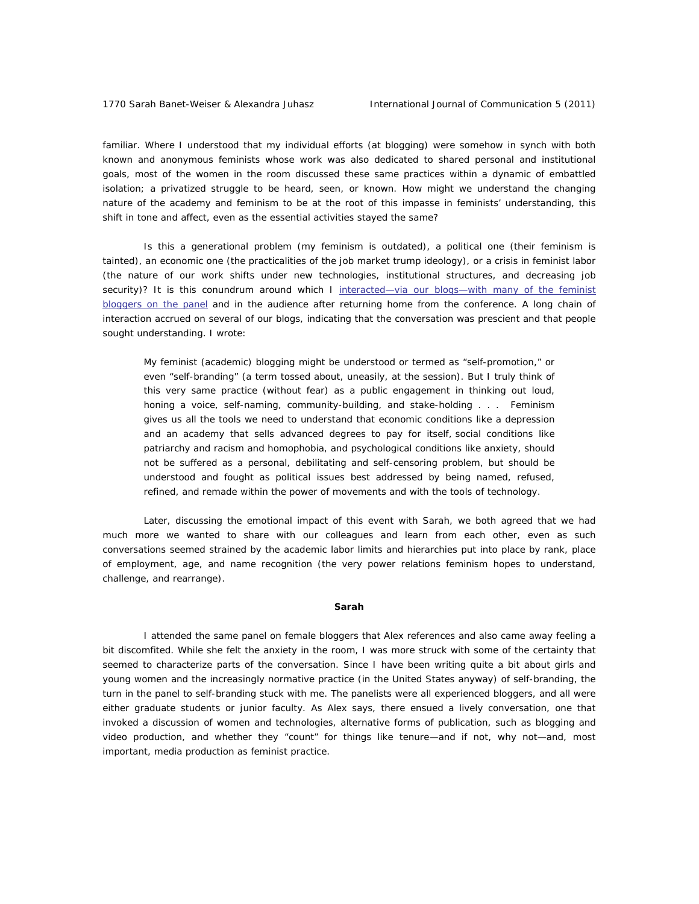familiar. Where I understood that my individual efforts (at blogging) were somehow in synch with both known and anonymous feminists whose work was also dedicated to shared personal and institutional goals, most of the women in the room discussed these same practices within a dynamic of embattled isolation; a privatized struggle to be heard, seen, or known. How might we understand the changing nature of the academy and feminism to be at the root of this impasse in feminists' understanding, this shift in tone and affect, even as the essential activities stayed the same?

Is this a generational problem (my feminism is outdated), a political one (their feminism is tainted), an economic one (the practicalities of the job market trump ideology), or a crisis in feminist labor (the nature of our work shifts under new technologies, institutional structures, and decreasing job security)? It is this conundrum around which I interacted—via our blogs—with many of the feminist [bloggers on the panel](http://aljean.wordpress.com/2011/03/16/anxiety-is-a-state-of-mediamind-on-scms-and-feminist-blogging/) and in the audience after returning home from the conference. A long chain of interaction accrued on several of our blogs, indicating that the conversation was prescient and that people sought understanding. I wrote:

My feminist (academic) blogging might be understood or termed as "self-promotion," or even "self-branding" (a term tossed about, uneasily, at the session). But I truly think of this very same practice (without fear) as a public engagement in thinking out loud, honing a voice, self-naming, community-building, and stake-holding . . . Feminism gives us all the tools we need to understand that economic conditions like a depression and an academy that sells advanced degrees to pay for itself, social conditions like patriarchy and racism and homophobia, and psychological conditions like anxiety, should not be suffered as a personal, debilitating and self-censoring problem, but should be understood and fought as political issues best addressed by being named, refused, refined, and remade within the power of movements and with the tools of technology.

Later, discussing the emotional impact of this event with Sarah, we both agreed that we had much more we wanted to share with our colleagues and learn from each other, even as such conversations seemed strained by the academic labor limits and hierarchies put into place by rank, place of employment, age, and name recognition (the very power relations feminism hopes to understand, challenge, and rearrange).

#### *Sarah*

I attended the same panel on female bloggers that Alex references and also came away feeling a bit discomfited. While she felt the anxiety in the room, I was more struck with some of the certainty that seemed to characterize parts of the conversation. Since I have been writing quite a bit about girls and young women and the increasingly normative practice (in the United States anyway) of self-branding, the turn in the panel to self-branding stuck with me. The panelists were all experienced bloggers, and all were either graduate students or junior faculty. As Alex says, there ensued a lively conversation, one that invoked a discussion of women and technologies, alternative forms of publication, such as blogging and video production, and whether they "count" for things like tenure—and if not, why not—and, most important, media production as feminist practice.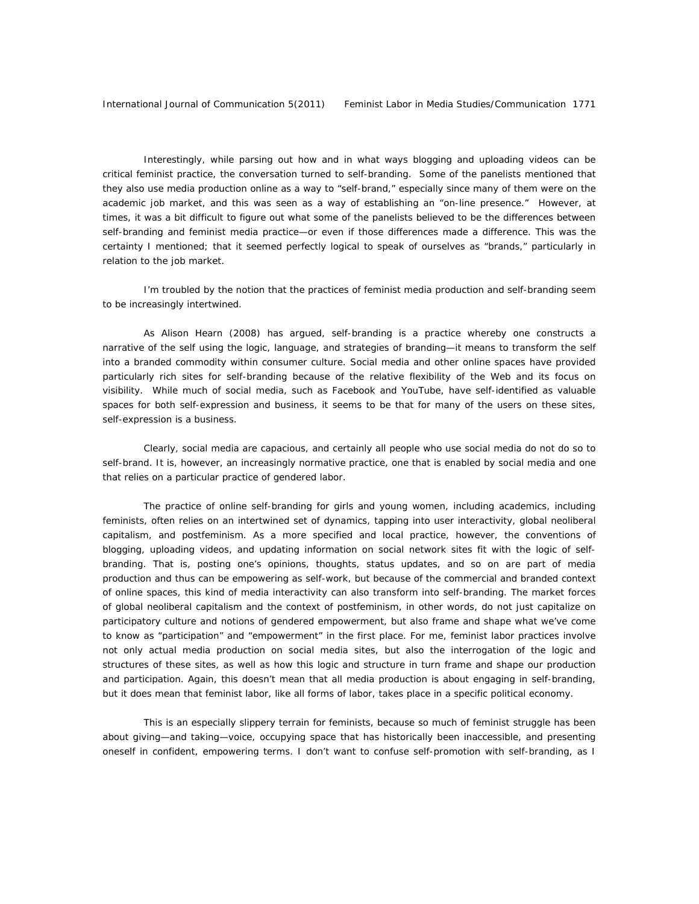Interestingly, while parsing out how and in what ways blogging and uploading videos can be critical feminist practice, the conversation turned to self-branding. Some of the panelists mentioned that they also use media production online as a way to "self-brand," especially since many of them were on the academic job market, and this was seen as a way of establishing an "on-line presence." However, at times, it was a bit difficult to figure out what some of the panelists believed to be the differences between self-branding and feminist media practice—or even if those differences made a difference. This was the certainty I mentioned; that it seemed perfectly logical to speak of ourselves as "brands," particularly in relation to the job market.

I'm troubled by the notion that the practices of feminist media production and self-branding seem to be increasingly intertwined.

As Alison Hearn (2008) has argued, self-branding is a practice whereby one constructs a narrative of the self using the logic, language, and strategies of branding—it means to transform the self into a branded commodity within consumer culture. Social media and other online spaces have provided particularly rich sites for self-branding because of the relative flexibility of the Web and its focus on visibility. While much of social media, such as Facebook and YouTube, have self-identified as valuable spaces for both self-expression and business, it seems to be that for many of the users on these sites, self-expression is a business.

Clearly, social media are capacious, and certainly all people who use social media do not do so to self-brand. It is, however, an increasingly normative practice, one that is enabled by social media and one that relies on a particular practice of gendered labor.

The practice of online self-branding for girls and young women, including academics, including feminists, often relies on an intertwined set of dynamics, tapping into user interactivity, global neoliberal capitalism, and postfeminism. As a more specified and local practice, however, the conventions of blogging, uploading videos, and updating information on social network sites fit with the logic of selfbranding. That is, posting one's opinions, thoughts, status updates, and so on are part of media production and thus can be empowering as self-work, but because of the commercial and branded context of online spaces, this kind of media interactivity can also transform into self-branding. The market forces of global neoliberal capitalism and the context of postfeminism, in other words, do not just capitalize on participatory culture and notions of gendered empowerment, but also frame and shape what we've come to know as "participation" and "empowerment" in the first place. For me, feminist labor practices involve not only actual media production on social media sites, but also the interrogation of the logic and structures of these sites, as well as how this logic and structure in turn frame and shape our production and participation. Again, this doesn't mean that all media production is about engaging in self-branding, but it does mean that feminist labor, like all forms of labor, takes place in a specific political economy.

This is an especially slippery terrain for feminists, because so much of feminist struggle has been about giving—and taking—voice, occupying space that has historically been inaccessible, and presenting oneself in confident, empowering terms. I don't want to confuse self-promotion with self-branding, as I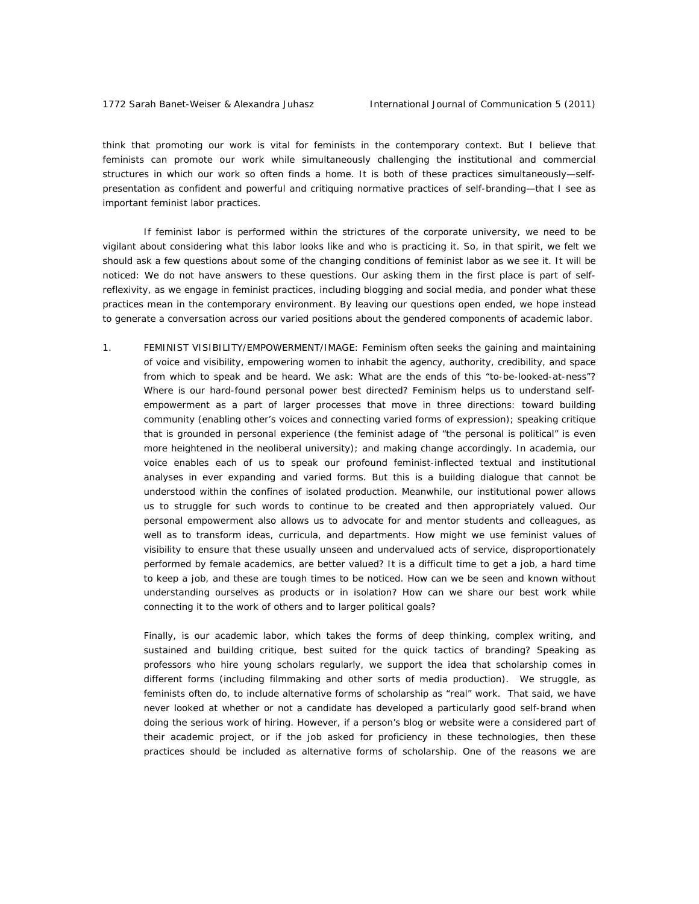think that promoting our work is vital for feminists in the contemporary context. But I believe that feminists can promote our work while simultaneously challenging the institutional and commercial structures in which our work so often finds a home. It is both of these practices simultaneously—selfpresentation as confident and powerful and critiquing normative practices of self-branding—that I see as important feminist labor practices.

If feminist labor is performed within the strictures of the corporate university, we need to be vigilant about considering what this labor looks like and who is practicing it. So, in that spirit, we felt we should ask a few questions about some of the changing conditions of feminist labor as we see it. It will be noticed: We do not have answers to these questions. Our asking them in the first place is part of selfreflexivity, as we engage in feminist practices, including blogging and social media, and ponder what these practices mean in the contemporary environment. By leaving our questions open ended, we hope instead to generate a conversation across our varied positions about the gendered components of academic labor.

1. FEMINIST VISIBILITY/EMPOWERMENT/IMAGE: Feminism often seeks the gaining and maintaining of voice and visibility, empowering women to inhabit the agency, authority, credibility, and space from which to speak and be heard. We ask: What are the ends of this "to-be-looked-at-ness"? Where is our hard-found personal power best directed? Feminism helps us to understand selfempowerment as a part of larger processes that move in three directions: toward building community (enabling other's voices and connecting varied forms of expression); speaking critique that is grounded in personal experience (the feminist adage of "the personal is political" is even more heightened in the neoliberal university); and making change accordingly. In academia, our voice enables each of us to speak our profound feminist-inflected textual and institutional analyses in ever expanding and varied forms. But this is a building dialogue that cannot be understood within the confines of isolated production. Meanwhile, our institutional power allows us to struggle for such words to continue to be created and then appropriately valued. Our personal empowerment also allows us to advocate for and mentor students and colleagues, as well as to transform ideas, curricula, and departments. How might we use feminist values of visibility to ensure that these usually unseen and undervalued acts of service, disproportionately performed by female academics, are better valued? It is a difficult time to get a job, a hard time to keep a job, and these are tough times to be noticed. How can we be seen and known without understanding ourselves as products or in isolation? How can we share our best work while connecting it to the work of others and to larger political goals?

Finally, is our academic labor, which takes the forms of deep thinking, complex writing, and sustained and building critique, best suited for the quick tactics of branding? Speaking as professors who hire young scholars regularly, we support the idea that scholarship comes in different forms (including filmmaking and other sorts of media production). We struggle, as feminists often do, to include alternative forms of scholarship as "real" work. That said, we have never looked at whether or not a candidate has developed a particularly good self-brand when doing the serious work of hiring. However, if a person's blog or website were a considered part of their academic project, or if the job asked for proficiency in these technologies, then these practices should be included as alternative forms of scholarship. One of the reasons we are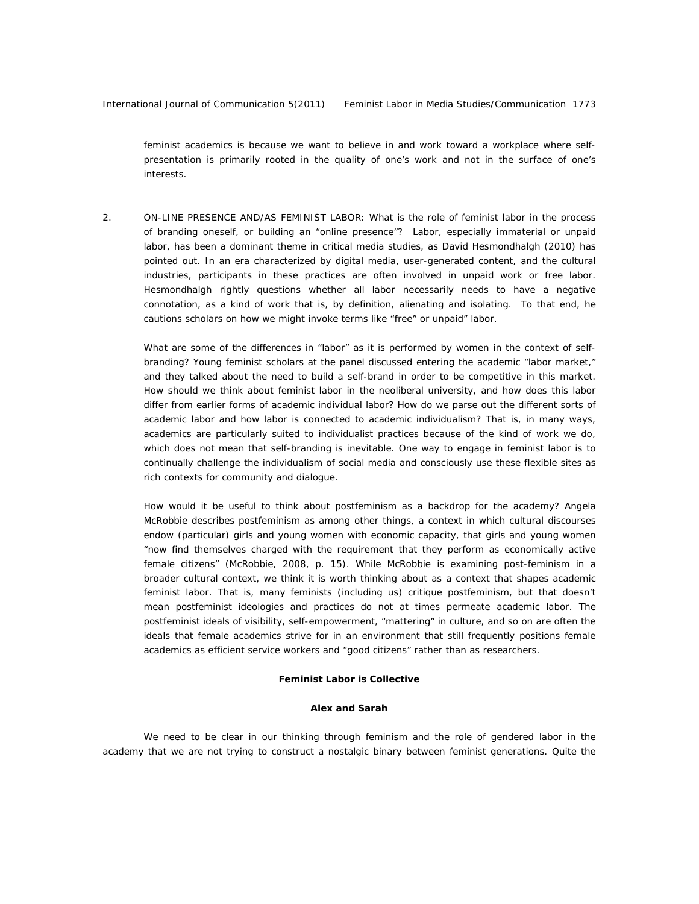feminist academics is because we want to believe in and work toward a workplace where selfpresentation is primarily rooted in the quality of one's work and not in the surface of one's interests.

2. ON-LINE PRESENCE AND/AS FEMINIST LABOR: What is the role of feminist labor in the process of branding oneself, or building an "online presence"? Labor, especially immaterial or unpaid labor, has been a dominant theme in critical media studies, as David Hesmondhalgh (2010) has pointed out. In an era characterized by digital media, user-generated content, and the cultural industries, participants in these practices are often involved in unpaid work or free labor. Hesmondhalgh rightly questions whether all labor necessarily needs to have a negative connotation, as a kind of work that is, by definition, alienating and isolating. To that end, he cautions scholars on how we might invoke terms like "free" or unpaid" labor.

What are some of the differences in "labor" as it is performed by women in the context of selfbranding? Young feminist scholars at the panel discussed entering the academic "labor market," and they talked about the need to build a self-brand in order to be competitive in this market. How should we think about feminist labor in the neoliberal university, and how does this labor differ from earlier forms of academic individual labor? How do we parse out the different sorts of academic labor and how labor is connected to academic individualism? That is, in many ways, academics are particularly suited to individualist practices because of the kind of work we do, which does not mean that self-branding is inevitable. One way to engage in feminist labor is to continually challenge the individualism of social media and consciously use these flexible sites as rich contexts for community and dialogue.

How would it be useful to think about postfeminism as a backdrop for the academy? Angela McRobbie describes postfeminism as among other things, a context in which cultural discourses endow (particular) girls and young women with economic capacity, that girls and young women "now find themselves charged with the requirement that they perform as economically active female citizens" (McRobbie, 2008, p. 15). While McRobbie is examining post-feminism in a broader cultural context, we think it is worth thinking about as a context that shapes academic feminist labor. That is, many feminists (including us) critique postfeminism, but that doesn't mean postfeminist ideologies and practices do not at times permeate academic labor. The postfeminist ideals of visibility, self-empowerment, "mattering" in culture, and so on are often the ideals that female academics strive for in an environment that still frequently positions female academics as efficient service workers and "good citizens" rather than as researchers.

# **Feminist Labor is Collective**

## *Alex and Sarah*

We need to be clear in our thinking through feminism and the role of gendered labor in the academy that we are not trying to construct a nostalgic binary between feminist generations. Quite the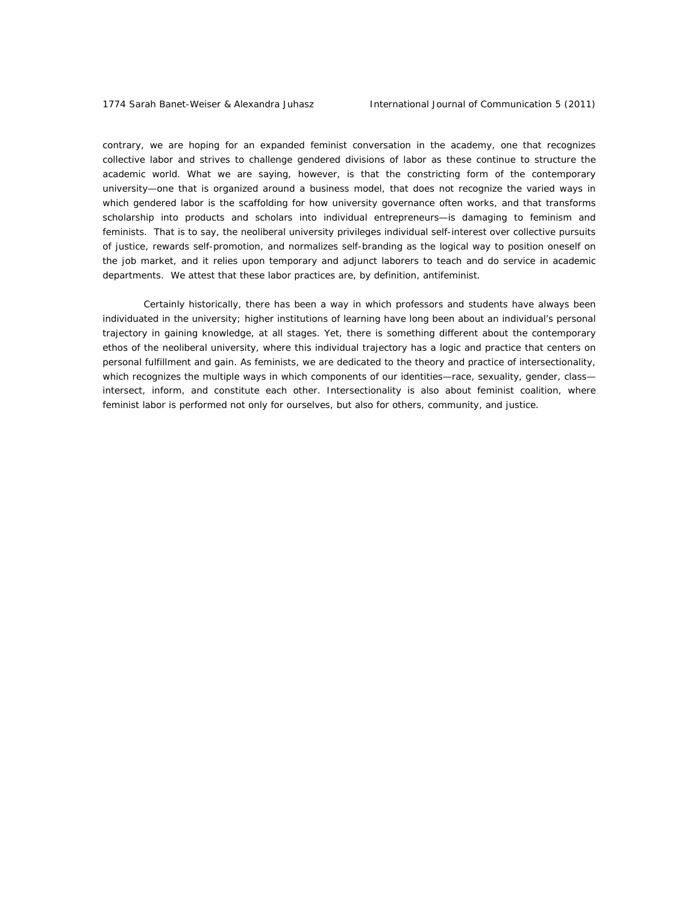contrary, we are hoping for an expanded feminist conversation in the academy, one that recognizes collective labor and strives to challenge gendered divisions of labor as these continue to structure the academic world. What we are saying, however, is that the constricting form of the contemporary university—one that is organized around a business model, that does not recognize the varied ways in which gendered labor is the scaffolding for how university governance often works, and that transforms scholarship into products and scholars into individual entrepreneurs—is damaging to feminism and feminists. That is to say, the neoliberal university privileges individual self-interest over collective pursuits of justice, rewards self-promotion, and normalizes self-branding as the logical way to position oneself on the job market, and it relies upon temporary and adjunct laborers to teach and do service in academic departments. We attest that these labor practices are, by definition, antifeminist.

Certainly historically, there has been a way in which professors and students have always been individuated in the university; higher institutions of learning have long been about an individual's personal trajectory in gaining knowledge, at all stages. Yet, there is something different about the contemporary ethos of the neoliberal university, where this individual trajectory has a logic and practice that centers on personal fulfillment and gain. As feminists, we are dedicated to the theory and practice of intersectionality, which recognizes the multiple ways in which components of our identities—race, sexuality, gender, class intersect, inform, and constitute each other. Intersectionality is also about feminist coalition, where feminist labor is performed not only for ourselves, but also for others, community, and justice.